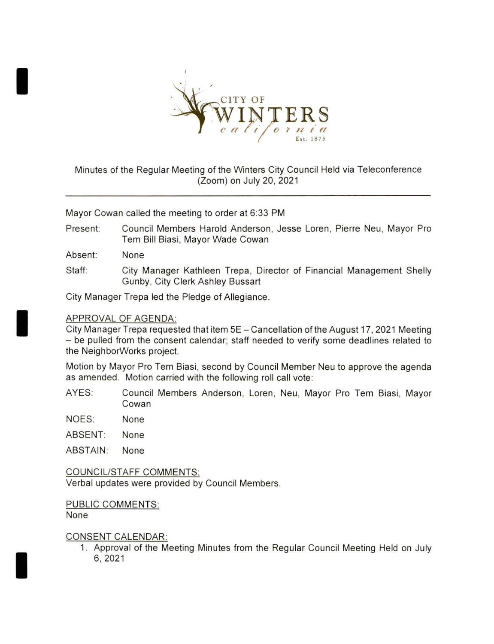

## Minutes of the Regular Meeting of the Winters City Council Held via Teleconference (Zoom) on July 20, 2021

Mayor Cowan called the meeting to order at 6:33 PM

- Present: Council Members Harold Anderson, Jesse Loren, Pierre Neu, Mayor Pro Tem Bill Biasi, Mayor Wade Cowan
- Absent: None

I

I

I

Staff: City Manager Kathleen Trepa, Director of Financial Management Shelly Gunby, City Clerk Ashley Bussart

City Manager Trepa led the Pledge of Allegiance.

#### APPROVAL OF AGENDA:

City Manager Trepa requested that item 5E-Cancellation ofthe August 17,2021 Meeting - be pulled from the consent calendar; staff needed to verify some deadlines related to the NeighborWorks project.

Motion by Mayor Pro Tem Biasi, second by Council Member Neu to approve the agenda as amended. Motion carried with the following roll call vote:

- AYES: Council Members Anderson, Loren, Neu, Mayor Pro Tem Biasi, Mayor Cowan
- NOES: None
- ABSENT: None
- ABSTAIN: None

COUNCIL/STAFF COMMENTS: Verbal updates were provided by Council Members.

#### PUBLIC COMMENTS:

None

#### CONSENT CALENDAR:

1. Approval of the Meeting Minutes from the Regular Council Meeting Held on July 6. 2021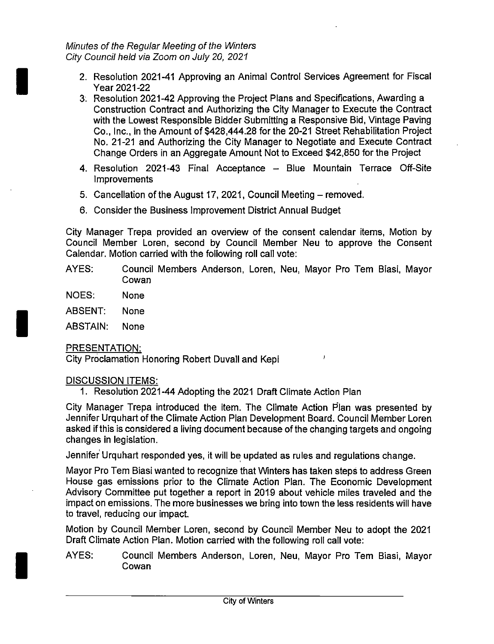- 2. Resolution 2021-41 Approving an Animal Control Services Agreement for Fiscal Year 2021-22
- 3. Resolution 2021-42 Approving the Project Plans and Specifications, Awarding a Construction Contract and Authorizing the City Manager to Execute the Contract with the Lowest Responsible Bidder Submitting a Responsive Bid, Vintage Paving Co., inc., in the Amount of \$428,444.28 for the 20-21 Street Rehabilitation Project No. 21-21 and Authorizing the City Manager to Negotiate and Execute Contract Change Orders in an Aggregate Amount Not to Exceed \$42,850 for the Project
- 4. Resolution 2021-43 Final Acceptance Blue Mountain Terrace Off-Site **Improvements**
- 5. Cancellation of the August 17, 2021, Council Meeting removed.
- 6. Consider the Business Improvement District Annual Budget

City Manager Trepa provided an overview of the consent calendar items. Motion by Council Member Loren, second by Council Member Neu to approve the Consent Calendar. Motion carried with the following roll call vote:

AYES: Council Members Anderson, Loren, Neu, Mayor Pro Tem Biasi, Mayor Cowan

NOES: None

I

I

I

ABSENT: None

ABSTAIN: None

PRESENTATION:

City Proclamation Honoring Robert Duvall and Kepi '

# DISCUSSION ITEMS:

1. Resolution 2021-44 Adopting the 2021 Draft Climate Action Plan

City Manager Trepa introduced the item. The Climate Action Plan was presented by Jennifer Urquhart of the Climate Action Plan Development Board. Council Member Loren asked if this is considered a living document because of the changing targets and ongoing changes in legislation.

Jennifer' Urquhart responded yes, it will be updated as rules and regulations change.

Mayor Pro Tem Biasi wanted to recognize that Winters has taken steps to address Green House gas emissions prior to the Climate Action Plan. The Economic Development Advisory Committee put together a report in 2019 about vehicle miles traveled and the impact on emissions. The more businesses we bring into town the less residents will have to travel, reducing our impact.

Motion by Council Member Loren, second by Council Member Neu to adopt the 2021 Draft Climate Action Plan. Motion carried with the following roll call vote:

AYES: Council Members Anderson, Loren, Neu, Mayor Pro Tem Biasi, Mayor Cowan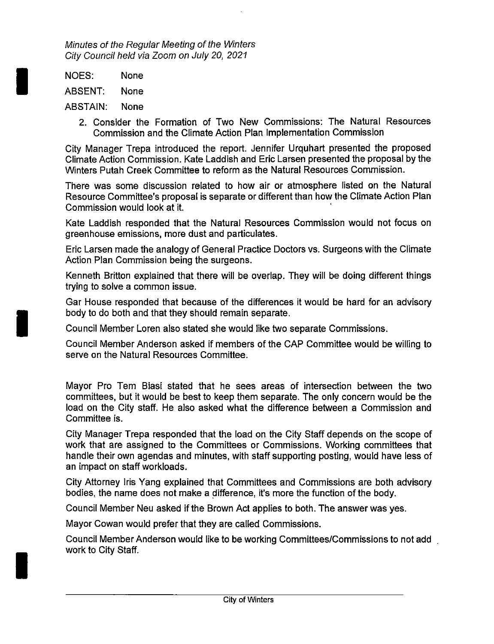NOES: None

ABSENT: None

I

I

I

ABSTAIN: None

2. Consider the Formation of Two New Commissions: The Natural Resources Commission and the Climate Action Plan Implementation Commission

City Manager Trepa introduced the report. Jennifer Urquhart presented the proposed Climate Action Commission. Kate Laddish and Eric Larsen presented the proposal by the Winters Putah Creek Committee to reform as the Natural Resources Commission.

There was some discussion related to how air or atmosphere listed on the Natural Resource Committee's proposal is separate or different than how the Climate Action Plan Commission would look at it.

Kate Laddish responded that the Natural Resources Commission would not focus on greenhouse emissions, more dust and particulates.

Eric Larsen made the analogy of General Practice Doctors vs. Surgeons with the Climate Action Plan Commission being the surgeons.

Kenneth Britton explained that there will be overlap. They will be doing different things trying to solve a common issue.

Gar House responded that because of the differences it would be hard for an advisory body to do both and that they should remain separate.

Council Member Loren also stated she would like two separate Commissions.

Council Member Anderson asked if members of the CAP Committee would be willing to serve on the Natural Resources Committee.

Mayor Pro Tem Biasi stated that he sees areas of intersection between the two committees, but it would be best to keep them separate. The only concern would be the load on the City staff. He also asked what the difference between a Commission and Committee is.

City Manager Trepa responded that the load on the City Staff depends on the scope of work that are assigned to the Committees or Commissions. Working committees that handle their own agendas and minutes, with staff supporting posting, would have less of an impact on staff workloads.

City Attorney Iris Yang explained that Committees and Commissions are both advisory bodies, the name does not make a difference, it's more the function of the body.

Council Member Neu asked if the Brown Act applies to both. The answer was yes.

Mayor Cowan would prefer that they are called Commissions.

Council Member Anderson would like to be working Committees/Commissions to not add work to City Staff.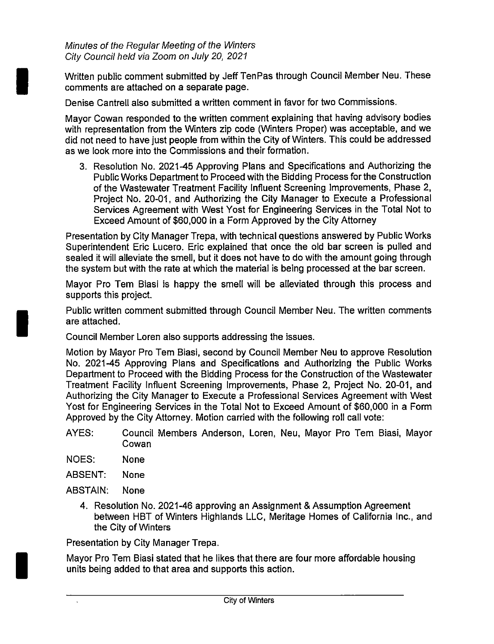I

I

I

Written public comment submitted by Jeff TenPas through Council Member Neu. These comments are attached on a separate page.

Denise Cantrell also submitted a written comment in favor for two Commissions.

Mayor Cowan responded to the written comment explaining that having advisory bodies with representation from the Winters zip code (Winters Proper) was acceptable, and we did not need to have just people from within the City of Winters. This could be addressed as we look more into the Commissions and their formation.

3. Resolution No. 2021-45 Approving Plans and Specifications and Authorizing the Public Works Department to Proceed with the Bidding Process for the Construction of the Wastewater Treatment Facility influent Screening Improvements, Phase 2, Project No. 20-01, and Authorizing the City Manager to Execute a Professional Services Agreement with West Yost for Engineering Services in the Total Not to Exceed Amount of \$60,000 in a Form Approved by the City Attorney

Presentation by City Manager Trepa, with technical questions answered by Public Works Superintendent Eric Lucero. Eric explained that once the old bar screen is pulled and sealed it will alleviate the smell, but it does not have to do with the amount going through the system but with the rate at which the material is being processed at the bar screen.

Mayor Pro Tem Biasi is happy the smell will be alleviated through this process and supports this project.

Public written comment submitted through Council Member Neu. The written comments are attached.

Council Member Loren also supports addressing the issues.

Motion by Mayor Pro Tem Biasi, second by Council Member Neu to approve Resolution No. 2021-45 Approving Plans and Specifications and Authorizing the Public Works Department to Proceed with the Bidding Process for the Construction of the Wastewater Treatment Facility Influent Screening Improvements, Phase 2, Project No. 20-01, and Authorizing the City Manager to Execute a Professional Services Agreement with West Yost for Engineering Services in the Total Not to Exceed Amount of \$60,000 in a Form Approved by the City Attorney. Motion carried with the following roll call vote:

- AYES: Council Members Anderson, Loren, Neu, Mayor Pro Tem Biasi, Mayor Cowan
- NOES: None
- ABSENT: None
- ABSTAIN: None
	- 4. Resolution No. 2021-46 approving an Assignment & Assumption Agreement between HBT of Winters Highlands LLC, Meritage Homes of California Inc., and the City of Winters

Presentation by City Manager Trepa.

Mayor Pro Tem Biasi stated that he likes that there are four more affordable housing units being added to that area and supports this action.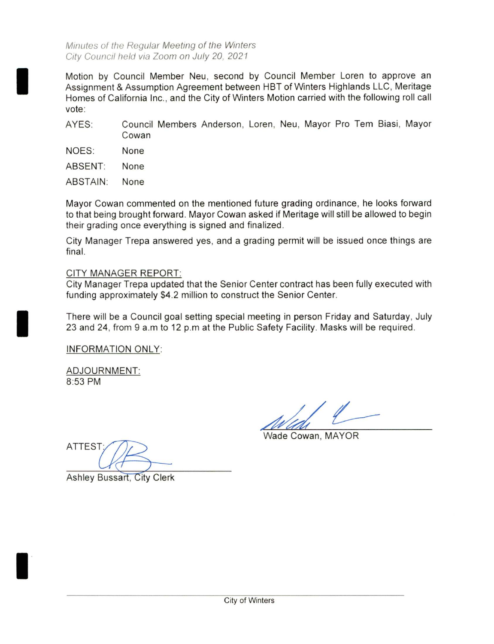Motion by Council Member Neu, second by Council Member Loren to approve an Assignment & Assumption Agreement between HBT of Winters Highlands LLC, Meritage Homes of California Inc., and the City of Winters Motion carried with the following roll call vote:

- AYES: Council Members Anderson, Loren, Neu, Mayor Pro Tem Biasi, Mayor Cowan
- NOES: None

I

I

I

- ABSENT: None
- ABSTAIN: None

Mayor Cowan commented on the mentioned future grading ordinance, he looks forward to that being brought forward. Mayor Cowan asked if Meritage will still be allowed to begin their grading once everything is signed and finalized.

City Manager Trepa answered yes, and a grading permit will be issued once things are final.

### CITY MANAGER REPORT:

City Manager Trepa updated that the Senior Center contract has been fully executed with funding approximately \$4.2 million to construct the Senior Center.

There will be a Council goal setting special meeting in person Friday and Saturday, July 23 and 24, from 9 a.m to 12 p.m at the Public Safety Facility. Masks will be required.

INFORMATION ONLY:

ADJOURNMENT: 8:53 PM

Wade Cowan, MAYOR

ATTEST:

Ashley Bussart, City Clerk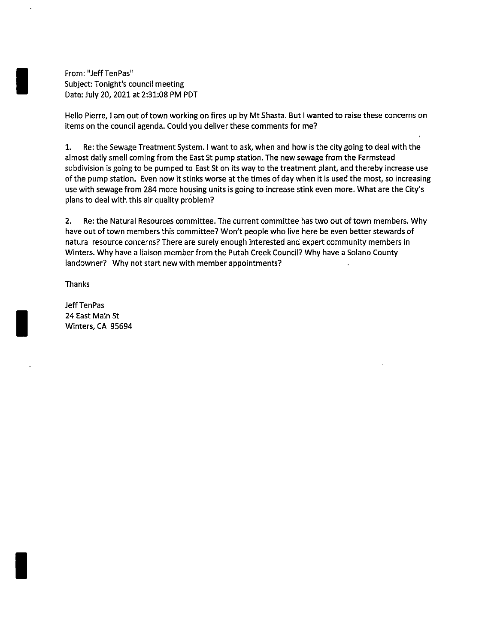From: "Jeff TenPas" Subject: Tonight's council meeting Date: July 20, 2021 at 2:31:08 PM PDT

Hello Pierre, I am out of town working on fires up by Mt Shasta. But I wanted to raise these concerns on items on the council agenda. Could you deliver these comments for me?

1. Re: the Sewage Treatment System. I want to ask, when and how is the city going to deal with the almost daily smell coming from the East St pump station. The new sewage from the Farmstead subdivision is going to be pumped to East St on its way to the treatment plant, and thereby increase use of the pump station. Even now it stinks worse at the times of day when it is used the most, so increasing use with sewage from 284 more housing units is going to increase stink even more. What are the City's plans to deal with this air quality problem?

2. Re: the Natural Resources committee. The current committee has two out of town members. Why have out of town members this committee? Won't people who live here be even better stewards of natural resource concerns? There are surely enough interested and expert community members in Winters. Why have a liaison member from the Putah Creek Council? Why have a Solano County landowner? Why not start new with member appointments?

Thanks

I

I

I

Jeff TenPas 24 East Main St Winters, CA 95694